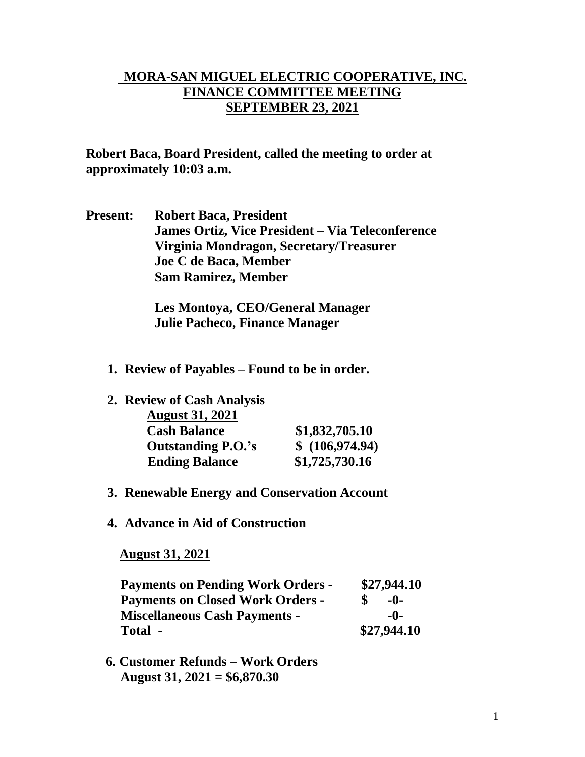## **MORA-SAN MIGUEL ELECTRIC COOPERATIVE, INC. FINANCE COMMITTEE MEETING SEPTEMBER 23, 2021**

**Robert Baca, Board President, called the meeting to order at approximately 10:03 a.m.**

**Present: Robert Baca, President James Ortiz, Vice President – Via Teleconference Virginia Mondragon, Secretary/Treasurer Joe C de Baca, Member Sam Ramirez, Member**

> **Les Montoya, CEO/General Manager Julie Pacheco, Finance Manager**

- **1. Review of Payables – Found to be in order.**
- **2. Review of Cash Analysis**

| <b>August 31, 2021</b>    |                |
|---------------------------|----------------|
| <b>Cash Balance</b>       | \$1,832,705.10 |
| <b>Outstanding P.O.'s</b> | \$(106,974.94) |
| <b>Ending Balance</b>     | \$1,725,730.16 |

- **3. Renewable Energy and Conservation Account**
- **4. Advance in Aid of Construction**

 **August 31, 2021**

| <b>Payments on Pending Work Orders -</b> | \$27,944.10 |
|------------------------------------------|-------------|
| <b>Payments on Closed Work Orders -</b>  | $-()$       |
| <b>Miscellaneous Cash Payments -</b>     | -0-         |
| Total -                                  | \$27,944.10 |

 **6. Customer Refunds – Work Orders August 31, 2021 = \$6,870.30**